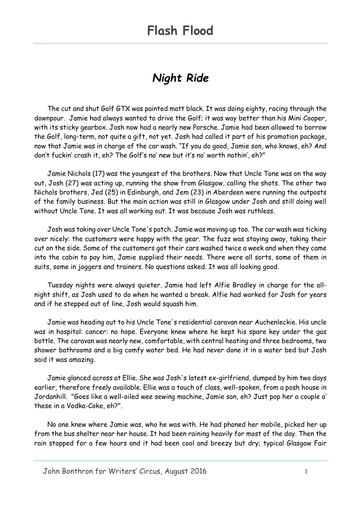#### *Night Ride*

The cut and shut Golf GTX was painted matt black. It was doing eighty, racing through the downpour. Jamie had always wanted to drive the Golf; it was way better than his Mini Cooper, with its sticky gearbox. Josh now had a nearly new Porsche. Jamie had been allowed to borrow the Golf, long-term, not quite a gift, not yet. Josh had called it part of his promotion package, now that Jamie was in charge of the car wash. "If you do good, Jamie son, who knows, eh? And don't fuckin' crash it, eh? The Golf's no' new but it's no' worth nothin', eh?"

Jamie Nichols (17) was the youngest of the brothers. Now that Uncle Tone was on the way out, Josh (27) was acting up, running the show from Glasgow, calling the shots. The other two Nichols brothers, Jed (25) in Edinburgh, and Jem (23) in Aberdeen were running the outposts of the family business. But the main action was still in Glasgow under Josh and still doing well without Uncle Tone. It was all working out. It was because Josh was ruthless.

Josh was taking over Uncle Tone's patch. Jamie was moving up too. The car wash was ticking over nicely: the customers were happy with the gear. The fuzz was staying away, taking their cut on the side. Some of the customers got their cars washed twice a week and when they came into the cabin to pay him, Jamie supplied their needs. There were all sorts, some of them in suits, some in joggers and trainers. No questions asked. It was all looking good.

Tuesday nights were always quieter. Jamie had left Alfie Bradley in charge for the allnight shift, as Josh used to do when he wanted a break. Alfie had worked for Josh for years and if he stepped out of line, Josh would squash him.

Jamie was heading out to his Uncle Tone's residential caravan near Auchenleckie. His uncle was in hospital: cancer: no hope. Everyone knew where he kept his spare key under the gas bottle. The caravan was nearly new, comfortable, with central heating and three bedrooms, two shower bathrooms and a big comfy water bed. He had never done it in a water bed but Josh said it was amazing.

Jamie glanced across at Ellie. She was Josh's latest ex-girlfriend, dumped by him two days earlier, therefore freely available. Ellie was a touch of class, well-spoken, from a posh house in Jordanhill. "Goes like a well-oiled wee sewing machine, Jamie son, eh? Just pop her a couple o' these in a Vodka-Coke, eh?".

No one knew where Jamie was, who he was with. He had phoned her mobile, picked her up from the bus shelter near her house. It had been raining heavily for most of the day. Then the rain stopped for a few hours and it had been cool and breezy but dry; typical Glasgow Fair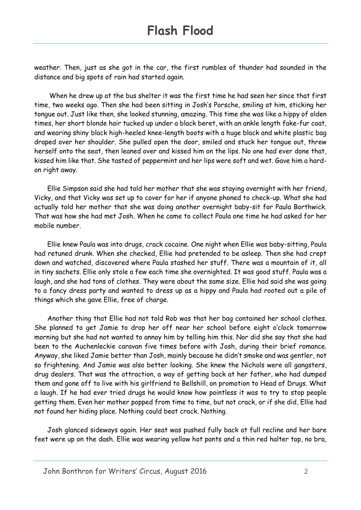weather. Then, just as she got in the car, the first rumbles of thunder had sounded in the distance and big spots of rain had started again.

When he drew up at the bus shelter it was the first time he had seen her since that first time, two weeks ago. Then she had been sitting in Josh's Porsche, smiling at him, sticking her tongue out. Just like then, she looked stunning, amazing. This time she was like a hippy of olden times, her short blonde hair tucked up under a black beret, with an ankle length fake-fur coat, and wearing shiny black high-heeled knee-length boots with a huge black and white plastic bag draped over her shoulder. She pulled open the door, smiled and stuck her tongue out, threw herself onto the seat, then leaned over and kissed him on the lips. No one had ever done that, kissed him like that. She tasted of peppermint and her lips were soft and wet. Gave him a hardon right away.

Ellie Simpson said she had told her mother that she was staying overnight with her friend, Vicky, and that Vicky was set up to cover for her if anyone phoned to check-up. What she had actually told her mother that she was doing another overnight baby-sit for Paula Borthwick. That was how she had met Josh. When he came to collect Paula one time he had asked for her mobile number.

Ellie knew Paula was into drugs, crack cocaine. One night when Ellie was baby-sitting, Paula had retuned drunk. When she checked, Ellie had pretended to be asleep. Then she had crept down and watched, discovered where Paula stashed her stuff. There was a mountain of it, all in tiny sachets. Ellie only stole a few each time she overnighted. It was good stuff. Paula was a laugh, and she had tons of clothes. They were about the same size. Ellie had said she was going to a fancy dress party and wanted to dress up as a hippy and Paula had rooted out a pile of things which she gave Ellie, free of charge.

Another thing that Ellie had not told Rob was that her bag contained her school clothes. She planned to get Jamie to drop her off near her school before eight o'clock tomorrow morning but she had not wanted to annoy him by telling him this. Nor did she say that she had been to the Auchenleckie caravan five times before with Josh, during their brief romance. Anyway, she liked Jamie better than Josh, mainly because he didn't smoke and was gentler, not so frightening. And Jamie was also better looking. She knew the Nichols were all gangsters, drug dealers. That was the attraction, a way of getting back at her father, who had dumped them and gone off to live with his girlfriend to Bellshill, on promotion to Head of Drugs. What a laugh. If he had ever tried drugs he would know how pointless it was to try to stop people getting them. Even her mother popped from time to time, but not crack, or if she did, Ellie had not found her hiding place. Nothing could beat crack. Nothing.

Josh glanced sideways again. Her seat was pushed fully back at full recline and her bare feet were up on the dash. Ellie was wearing yellow hot pants and a thin red halter top, no bra,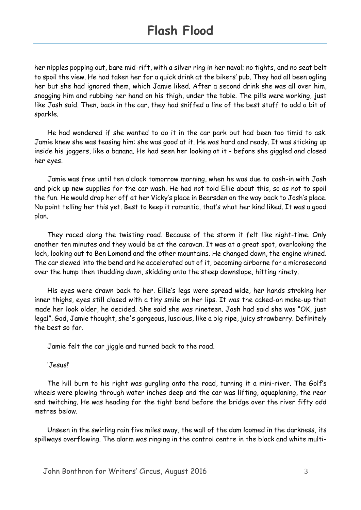her nipples popping out, bare mid-rift, with a silver ring in her naval; no tights, and no seat belt to spoil the view. He had taken her for a quick drink at the bikers' pub. They had all been ogling her but she had ignored them, which Jamie liked. After a second drink she was all over him, snogging him and rubbing her hand on his thigh, under the table. The pills were working, just like Josh said. Then, back in the car, they had sniffed a line of the best stuff to add a bit of sparkle.

He had wondered if she wanted to do it in the car park but had been too timid to ask. Jamie knew she was teasing him: she was good at it. He was hard and ready. It was sticking up inside his joggers, like a banana. He had seen her looking at it - before she giggled and closed her eyes.

Jamie was free until ten o'clock tomorrow morning, when he was due to cash-in with Josh and pick up new supplies for the car wash. He had not told Ellie about this, so as not to spoil the fun. He would drop her off at her Vicky's place in Bearsden on the way back to Josh's place. No point telling her this yet. Best to keep it romantic, that's what her kind liked. It was a good plan.

They raced along the twisting road. Because of the storm it felt like night-time. Only another ten minutes and they would be at the caravan. It was at a great spot, overlooking the loch, looking out to Ben Lomond and the other mountains. He changed down, the engine whined. The car slewed into the bend and he accelerated out of it, becoming airborne for a microsecond over the hump then thudding down, skidding onto the steep downslope, hitting ninety.

His eyes were drawn back to her. Ellie's legs were spread wide, her hands stroking her inner thighs, eyes still closed with a tiny smile on her lips. It was the caked-on make-up that made her look older, he decided. She said she was nineteen. Josh had said she was "OK, just legal". God, Jamie thought, she's gorgeous, luscious, like a big ripe, juicy strawberry. Definitely the best so far.

Jamie felt the car jiggle and turned back to the road.

'Jesus!'

The hill burn to his right was gurgling onto the road, turning it a mini-river. The Golf's wheels were plowing through water inches deep and the car was lifting, aquaplaning, the rear end twitching. He was heading for the tight bend before the bridge over the river fifty odd metres below.

Unseen in the swirling rain five miles away, the wall of the dam loomed in the darkness, its spillways overflowing. The alarm was ringing in the control centre in the black and white multi-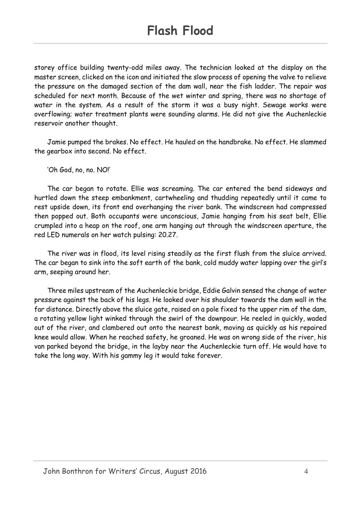storey office building twenty-odd miles away. The technician looked at the display on the master screen, clicked on the icon and initiated the slow process of opening the valve to relieve the pressure on the damaged section of the dam wall, near the fish ladder. The repair was scheduled for next month. Because of the wet winter and spring, there was no shortage of water in the system. As a result of the storm it was a busy night. Sewage works were overflowing; water treatment plants were sounding alarms. He did not give the Auchenleckie reservoir another thought.

Jamie pumped the brakes. No effect. He hauled on the handbrake. No effect. He slammed the gearbox into second. No effect.

'Oh God, no, no. NO!'

The car began to rotate. Ellie was screaming. The car entered the bend sideways and hurtled down the steep embankment, cartwheeling and thudding repeatedly until it came to rest upside down, its front end overhanging the river bank. The windscreen had compressed then popped out. Both occupants were unconscious, Jamie hanging from his seat belt, Ellie crumpled into a heap on the roof, one arm hanging out through the windscreen aperture, the red LED numerals on her watch pulsing: 20.27.

The river was in flood, its level rising steadily as the first flush from the sluice arrived. The car began to sink into the soft earth of the bank, cold muddy water lapping over the girl's arm, seeping around her.

Three miles upstream of the Auchenleckie bridge, Eddie Galvin sensed the change of water pressure against the back of his legs. He looked over his shoulder towards the dam wall in the far distance. Directly above the sluice gate, raised on a pole fixed to the upper rim of the dam, a rotating yellow light winked through the swirl of the downpour. He reeled in quickly, waded out of the river, and clambered out onto the nearest bank, moving as quickly as his repaired knee would allow. When he reached safety, he groaned. He was on wrong side of the river, his van parked beyond the bridge, in the layby near the Auchenleckie turn off. He would have to take the long way. With his gammy leg it would take forever.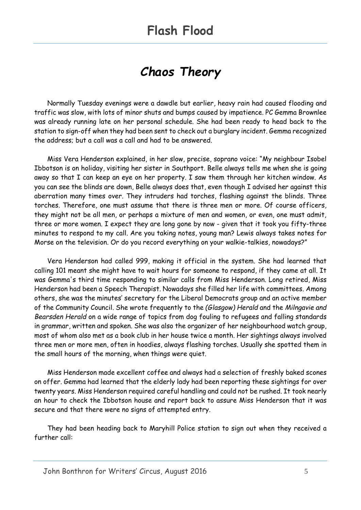### *Chaos Theory*

Normally Tuesday evenings were a dawdle but earlier, heavy rain had caused flooding and traffic was slow, with lots of minor shuts and bumps caused by impatience. PC Gemma Brownlee was already running late on her personal schedule. She had been ready to head back to the station to sign-off when they had been sent to check out a burglary incident. Gemma recognized the address; but a call was a call and had to be answered.

Miss Vera Henderson explained, in her slow, precise, soprano voice: "My neighbour Isobel Ibbotson is on holiday, visiting her sister in Southport. Belle always tells me when she is going away so that I can keep an eye on her property. I saw them through her kitchen window. As you can see the blinds are down, Belle always does that, even though I advised her against this aberration many times over. They intruders had torches, flashing against the blinds. Three torches. Therefore, one must assume that there is three men or more. Of course officers, they might not be all men, or perhaps a mixture of men and women, or even, one must admit, three or more women. I expect they are long gone by now - given that it took you fifty-three minutes to respond to my call. Are you taking notes, young man? Lewis always takes notes for Morse on the television. Or do you record everything on your walkie-talkies, nowadays?"

Vera Henderson had called 999, making it official in the system. She had learned that calling 101 meant she might have to wait hours for someone to respond, if they came at all. It was Gemma's third time responding to similar calls from Miss Henderson. Long retired, Miss Henderson had been a Speech Therapist. Nowadays she filled her life with committees. Among others, she was the minutes' secretary for the Liberal Democrats group and an active member of the Community Council. She wrote frequently to the *(Glasgow) Herald* and the *Milngavie and Bearsden Herald* on a wide range of topics from dog fouling to refugees and falling standards in grammar, written and spoken. She was also the organizer of her neighbourhood watch group, most of whom also met as a book club in her house twice a month. Her sightings always involved three men or more men, often in hoodies, always flashing torches. Usually she spotted them in the small hours of the morning, when things were quiet.

Miss Henderson made excellent coffee and always had a selection of freshly baked scones on offer. Gemma had learned that the elderly lady had been reporting these sightings for over twenty years. Miss Henderson required careful handling and could not be rushed. It took nearly an hour to check the Ibbotson house and report back to assure Miss Henderson that it was secure and that there were no signs of attempted entry.

They had been heading back to Maryhill Police station to sign out when they received a further call: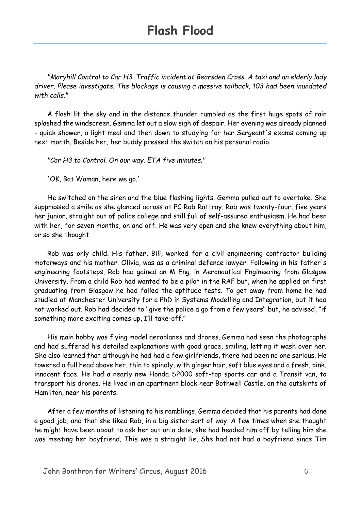*"Maryhill Control to Car H3. Traffic incident at Bearsden Cross. A taxi and an elderly lady driver. Please investigate. The blockage is causing a massive tailback. 103 had been inundated with calls."*

A flash lit the sky and in the distance thunder rumbled as the first huge spots of rain splashed the windscreen. Gemma let out a slow sigh of despair. Her evening was already planned - quick shower, a light meal and then down to studying for her Sergeant's exams coming up next month. Beside her, her buddy pressed the switch on his personal radio:

*"Car H3 to Control. On our way. ETA five minutes."*

'OK, Bat Woman, here we go.'

He switched on the siren and the blue flashing lights. Gemma pulled out to overtake. She suppressed a smile as she glanced across at PC Rob Rattray. Rob was twenty-four, five years her junior, straight out of police college and still full of self-assured enthusiasm. He had been with her, for seven months, on and off. He was very open and she knew everything about him, or so she thought.

Rob was only child. His father, Bill, worked for a civil engineering contractor building motorways and his mother. Olivia, was as a criminal defence lawyer. Following in his father's engineering footsteps, Rob had gained an M Eng. in Aeronautical Engineering from Glasgow University. From a child Rob had wanted to be a pilot in the RAF but, when he applied on first graduating from Glasgow he had failed the aptitude tests. To get away from home he had studied at Manchester University for a PhD in Systems Modelling and Integration, but it had not worked out. Rob had decided to "give the police a go from a few years" but, he advised, "if something more exciting comes up, I'll take-off."

His main hobby was flying model aeroplanes and drones. Gemma had seen the photographs and had suffered his detailed explanations with good grace, smiling, letting it wash over her. She also learned that although he had had a few girlfriends, there had been no one serious. He towered a full head above her, thin to spindly, with ginger hair, soft blue eyes and a fresh, pink, innocent face. He had a nearly new Honda S2000 soft-top sports car and a Transit van, to transport his drones. He lived in an apartment block near Bothwell Castle, on the outskirts of Hamilton, near his parents.

After a few months of listening to his ramblings, Gemma decided that his parents had done a good job, and that she liked Rob, in a big sister sort of way. A few times when she thought he might have been about to ask her out on a date, she had headed him off by telling him she was meeting her boyfriend. This was a straight lie. She had not had a boyfriend since Tim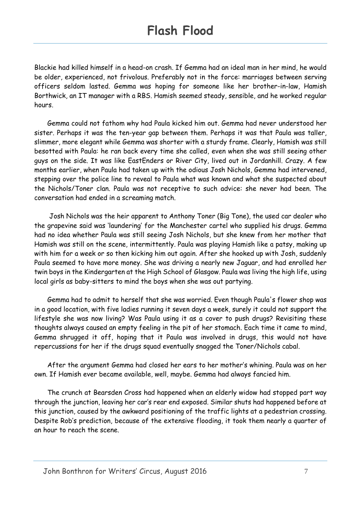Blackie had killed himself in a head-on crash. If Gemma had an ideal man in her mind, he would be older, experienced, not frivolous. Preferably not in the force: marriages between serving officers seldom lasted. Gemma was hoping for someone like her brother-in-law, Hamish Borthwick, an IT manager with a RBS. Hamish seemed steady, sensible, and he worked regular hours.

Gemma could not fathom why had Paula kicked him out. Gemma had never understood her sister. Perhaps it was the ten-year gap between them. Perhaps it was that Paula was taller, slimmer, more elegant while Gemma was shorter with a sturdy frame. Clearly, Hamish was still besotted with Paula: he ran back every time she called, even when she was still seeing other guys on the side. It was like EastEnders or River City, lived out in Jordanhill. Crazy. A few months earlier, when Paula had taken up with the odious Josh Nichols, Gemma had intervened, stepping over the police line to reveal to Paula what was known and what she suspected about the Nichols/Toner clan. Paula was not receptive to such advice: she never had been. The conversation had ended in a screaming match.

Josh Nichols was the heir apparent to Anthony Toner (Big Tone), the used car dealer who the grapevine said was 'laundering' for the Manchester cartel who supplied his drugs. Gemma had no idea whether Paula was still seeing Josh Nichols, but she knew from her mother that Hamish was still on the scene, intermittently. Paula was playing Hamish like a patsy, making up with him for a week or so then kicking him out again. After she hooked up with Josh, suddenly Paula seemed to have more money. She was driving a nearly new Jaguar, and had enrolled her twin boys in the Kindergarten at the High School of Glasgow. Paula was living the high life, using local girls as baby-sitters to mind the boys when she was out partying.

Gemma had to admit to herself that she was worried. Even though Paula's flower shop was in a good location, with five ladies running it seven days a week, surely it could not support the lifestyle she was now living? Was Paula using it as a cover to push drugs? Revisiting these thoughts always caused an empty feeling in the pit of her stomach. Each time it came to mind, Gemma shrugged it off, hoping that it Paula was involved in drugs, this would not have repercussions for her if the drugs squad eventually snagged the Toner/Nichols cabal.

After the argument Gemma had closed her ears to her mother's whining. Paula was on her own. If Hamish ever became available, well, maybe. Gemma had always fancied him.

The crunch at Bearsden Cross had happened when an elderly widow had stopped part way through the junction, leaving her car's rear end exposed. Similar shuts had happened before at this junction, caused by the awkward positioning of the traffic lights at a pedestrian crossing. Despite Rob's prediction, because of the extensive flooding, it took them nearly a quarter of an hour to reach the scene.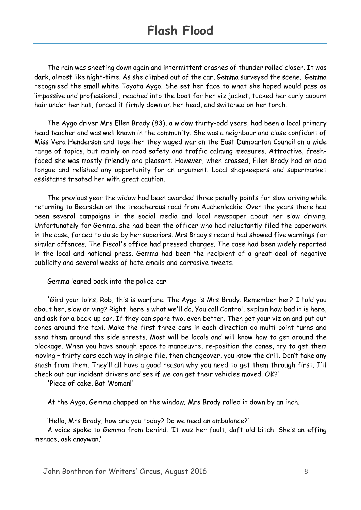The rain was sheeting down again and intermittent crashes of thunder rolled closer. It was dark, almost like night-time. As she climbed out of the car, Gemma surveyed the scene. Gemma recognised the small white Toyota Aygo. She set her face to what she hoped would pass as 'impassive and professional', reached into the boot for her viz jacket, tucked her curly auburn hair under her hat, forced it firmly down on her head, and switched on her torch.

The Aygo driver Mrs Ellen Brady (83), a widow thirty-odd years, had been a local primary head teacher and was well known in the community. She was a neighbour and close confidant of Miss Vera Henderson and together they waged war on the East Dumbarton Council on a wide range of topics, but mainly on road safety and traffic calming measures. Attractive, freshfaced she was mostly friendly and pleasant. However, when crossed, Ellen Brady had an acid tongue and relished any opportunity for an argument. Local shopkeepers and supermarket assistants treated her with great caution.

The previous year the widow had been awarded three penalty points for slow driving while returning to Bearsden on the treacherous road from Auchenleckie. Over the years there had been several campaigns in the social media and local newspaper about her slow driving. Unfortunately for Gemma, she had been the officer who had reluctantly filed the paperwork in the case, forced to do so by her superiors. Mrs Brady's record had showed five warnings for similar offences. The Fiscal's office had pressed charges. The case had been widely reported in the local and national press. Gemma had been the recipient of a great deal of negative publicity and several weeks of hate emails and corrosive tweets.

Gemma leaned back into the police car:

'Gird your loins, Rob, this is warfare. The Aygo is Mrs Brady. Remember her? I told you about her, slow driving? Right, here's what we'll do. You call Control, explain how bad it is here, and ask for a back-up car. If they can spare two, even better. Then get your viz on and put out cones around the taxi. Make the first three cars in each direction do multi-point turns and send them around the side streets. Most will be locals and will know how to get around the blockage. When you have enough space to manoeuvre, re-position the cones, try to get them moving – thirty cars each way in single file, then changeover, you know the drill. Don't take any snash from them. They'll all have a good reason why you need to get them through first. I'll check out our incident drivers and see if we can get their vehicles moved. OK?'

'Piece of cake, Bat Woman!'

At the Aygo, Gemma chapped on the window; Mrs Brady rolled it down by an inch.

'Hello, Mrs Brady, how are you today? Do we need an ambulance?'

A voice spoke to Gemma from behind. 'It wuz her fault, daft old bitch. She's an effing menace, ask anaywan.'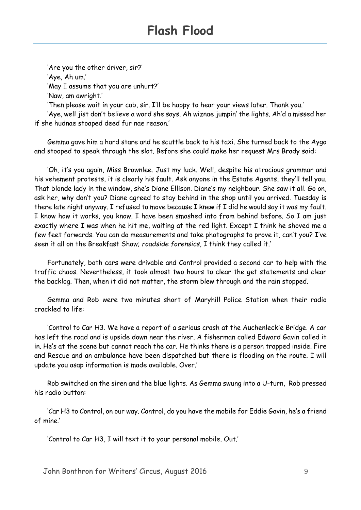'Are you the other driver, sir?' 'Aye, Ah um.' 'May I assume that you are unhurt?' 'Naw, am awright.'

'Then please wait in your cab, sir. I'll be happy to hear your views later. Thank you.'

'Aye, well jist don't believe a word she says. Ah wiznae jumpin' the lights. Ah'd a missed her if she hudnae stoaped deed fur nae reason.'

Gemma gave him a hard stare and he scuttle back to his taxi. She turned back to the Aygo and stooped to speak through the slot. Before she could make her request Mrs Brady said:

'Oh, it's you again, Miss Brownlee. Just my luck. Well, despite his atrocious grammar and his vehement protests, it is clearly his fault. Ask anyone in the Estate Agents, they'll tell you. That blonde lady in the window, she's Diane Ellison. Diane's my neighbour. She saw it all. Go on, ask her, why don't you? Diane agreed to stay behind in the shop until you arrived. Tuesday is there late night anyway. I refused to move because I knew if I did he would say it was my fault. I know how it works, you know. I have been smashed into from behind before. So I am just exactly where I was when he hit me, waiting at the red light. Except I think he shoved me a few feet forwards. You can do measurements and take photographs to prove it, can't you? I've seen it all on the Breakfast Show; *roadside forensics*, I think they called it.'

Fortunately, both cars were drivable and Control provided a second car to help with the traffic chaos. Nevertheless, it took almost two hours to clear the get statements and clear the backlog. Then, when it did not matter, the storm blew through and the rain stopped.

Gemma and Rob were two minutes short of Maryhill Police Station when their radio crackled to life:

'Control to Car H3. We have a report of a serious crash at the Auchenleckie Bridge. A car has left the road and is upside down near the river. A fisherman called Edward Gavin called it in. He's at the scene but cannot reach the car. He thinks there is a person trapped inside. Fire and Rescue and an ambulance have been dispatched but there is flooding on the route. I will update you asap information is made available. Over.'

Rob switched on the siren and the blue lights. As Gemma swung into a U-turn, Rob pressed his radio button:

'Car H3 to Control, on our way. Control, do you have the mobile for Eddie Gavin, he's a friend of mine.'

'Control to Car H3, I will text it to your personal mobile. Out.'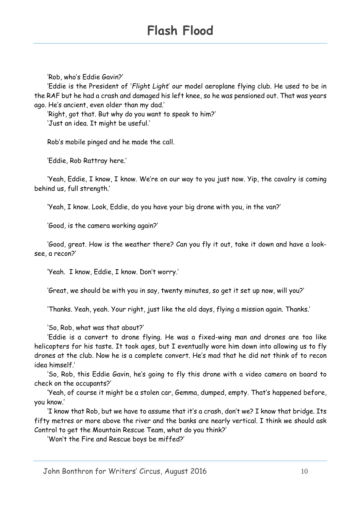'Rob, who's Eddie Gavin?'

'Eddie is the President of '*Flight Light*' our model aeroplane flying club. He used to be in the RAF but he had a crash and damaged his left knee, so he was pensioned out. That was years ago. He's ancient, even older than my dad.'

'Right, got that. But why do you want to speak to him?' 'Just an idea. It might be useful.'

Rob's mobile pinged and he made the call.

'Eddie, Rob Rattray here.'

'Yeah, Eddie, I know, I know. We're on our way to you just now. Yip, the cavalry is coming behind us, full strength.'

'Yeah, I know. Look, Eddie, do you have your big drone with you, in the van?'

'Good, is the camera working again?'

'Good, great. How is the weather there? Can you fly it out, take it down and have a looksee, a recon?'

'Yeah. I know, Eddie, I know. Don't worry.'

'Great, we should be with you in say, twenty minutes, so get it set up now, will you?'

'Thanks. Yeah, yeah. Your right, just like the old days, flying a mission again. Thanks.'

'So, Rob, what was that about?'

'Eddie is a convert to drone flying. He was a fixed-wing man and drones are too like helicopters for his taste. It took ages, but I eventually wore him down into allowing us to fly drones at the club. Now he is a complete convert. He's mad that he did not think of to recon idea himself.'

'So, Rob, this Eddie Gavin, he's going to fly this drone with a video camera on board to check on the occupants?'

'Yeah, of course it might be a stolen car, Gemma, dumped, empty. That's happened before, you know.'

'I know that Rob, but we have to assume that it's a crash, don't we? I know that bridge. Its fifty metres or more above the river and the banks are nearly vertical. I think we should ask Control to get the Mountain Rescue Team, what do you think?'

'Won't the Fire and Rescue boys be miffed?'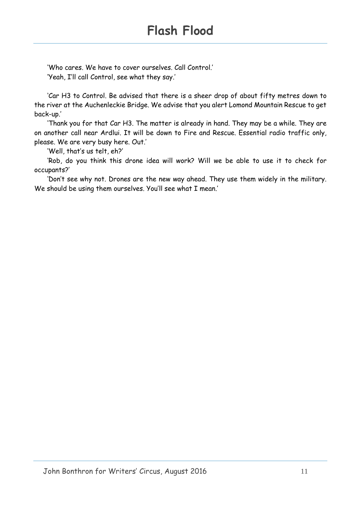'Who cares. We have to cover ourselves. Call Control.' 'Yeah, I'll call Control, see what they say.'

'Car H3 to Control. Be advised that there is a sheer drop of about fifty metres down to the river at the Auchenleckie Bridge. We advise that you alert Lomond Mountain Rescue to get back-up.'

'Thank you for that Car H3. The matter is already in hand. They may be a while. They are on another call near Ardlui. It will be down to Fire and Rescue. Essential radio traffic only, please. We are very busy here. Out.'

'Well, that's us telt, eh?'

'Rob, do you think this drone idea will work? Will we be able to use it to check for occupants?'

'Don't see why not. Drones are the new way ahead. They use them widely in the military. We should be using them ourselves. You'll see what I mean.'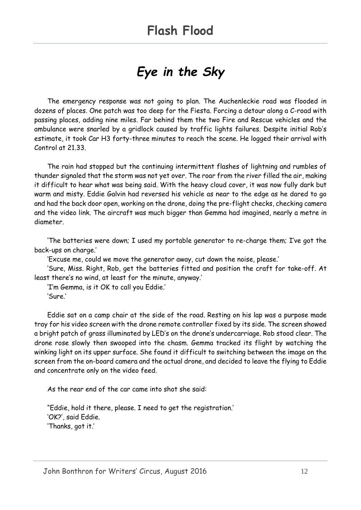# *Eye in the Sky*

The emergency response was not going to plan. The Auchenleckie road was flooded in dozens of places. One patch was too deep for the Fiesta. Forcing a detour along a C-road with passing places, adding nine miles. Far behind them the two Fire and Rescue vehicles and the ambulance were snarled by a gridlock caused by traffic lights failures. Despite initial Rob's estimate, it took Car H3 forty-three minutes to reach the scene. He logged their arrival with Control at 21.33.

The rain had stopped but the continuing intermittent flashes of lightning and rumbles of thunder signaled that the storm was not yet over. The roar from the river filled the air, making it difficult to hear what was being said. With the heavy cloud cover, it was now fully dark but warm and misty. Eddie Galvin had reversed his vehicle as near to the edge as he dared to go and had the back door open, working on the drone, doing the pre-flight checks, checking camera and the video link. The aircraft was much bigger than Gemma had imagined, nearly a metre in diameter.

'The batteries were down; I used my portable generator to re-charge them; I've got the back-ups on charge.'

'Excuse me, could we move the generator away, cut down the noise, please.'

'Sure, Miss. Right, Rob, get the batteries fitted and position the craft for take-off. At least there's no wind, at least for the minute, anyway.'

'I'm Gemma, is it OK to call you Eddie.' 'Sure.'

Eddie sat on a camp chair at the side of the road. Resting on his lap was a purpose made tray for his video screen with the drone remote controller fixed by its side. The screen showed a bright patch of grass illuminated by LED's on the drone's undercarriage. Rob stood clear. The drone rose slowly then swooped into the chasm. Gemma tracked its flight by watching the winking light on its upper surface. She found it difficult to switching between the image on the screen from the on-board camera and the actual drone, and decided to leave the flying to Eddie and concentrate only on the video feed.

As the rear end of the car came into shot she said:

"Eddie, hold it there, please. I need to get the registration.' 'OK?', said Eddie. 'Thanks, got it.'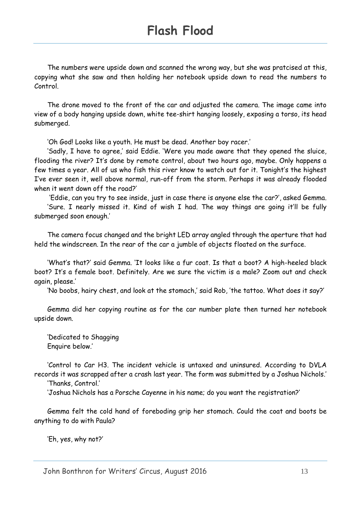The numbers were upside down and scanned the wrong way, but she was pratcised at this, copying what she saw and then holding her notebook upside down to read the numbers to Control.

The drone moved to the front of the car and adjusted the camera. The image came into view of a body hanging upside down, white tee-shirt hanging loosely, exposing a torso, its head submerged.

'Oh God! Looks like a youth. He must be dead. Another boy racer.'

'Sadly, I have to agree,' said Eddie. 'Were you made aware that they opened the sluice, flooding the river? It's done by remote control, about two hours ago, maybe. Only happens a few times a year. All of us who fish this river know to watch out for it. Tonight's the highest I've ever seen it, well above normal, run-off from the storm. Perhaps it was already flooded when it went down off the road?'

'Eddie, can you try to see inside, just in case there is anyone else the car?', asked Gemma. 'Sure. I nearly missed it. Kind of wish I had. The way things are going it'll be fully submerged soon enough.'

The camera focus changed and the bright LED array angled through the aperture that had held the windscreen. In the rear of the car a jumble of objects floated on the surface.

'What's that?' said Gemma. 'It looks like a fur coat. Is that a boot? A high-heeled black boot? It's a female boot. Definitely. Are we sure the victim is a male? Zoom out and check again, please.'

'No boobs, hairy chest, and look at the stomach,' said Rob, 'the tattoo. What does it say?'

Gemma did her copying routine as for the car number plate then turned her notebook upside down.

'Dedicated to Shagging Enquire below.'

'Control to Car H3. The incident vehicle is untaxed and uninsured. According to DVLA records it was scrapped after a crash last year. The form was submitted by a Joshua Nichols.'

'Thanks, Control.'

'Joshua Nichols has a Porsche Cayenne in his name; do you want the registration?'

Gemma felt the cold hand of foreboding grip her stomach. Could the coat and boots be anything to do with Paula?

'Eh, yes, why not?'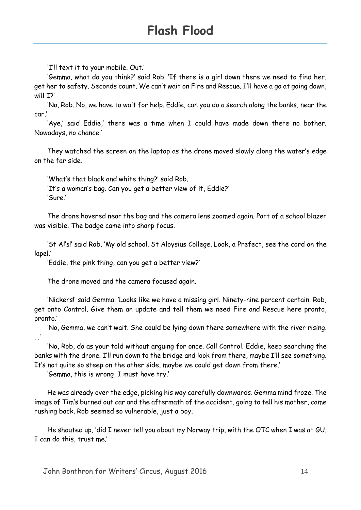'I'll text it to your mobile. Out.'

'Gemma, what do you think?' said Rob. 'If there is a girl down there we need to find her, get her to safety. Seconds count. We can't wait on Fire and Rescue. I'll have a go at going down, will I?'

'No, Rob. No, we have to wait for help. Eddie, can you do a search along the banks, near the car.'

'Aye,' said Eddie,' there was a time when I could have made down there no bother. Nowadays, no chance.'

They watched the screen on the laptop as the drone moved slowly along the water's edge on the far side.

'What's that black and white thing?' said Rob. 'It's a woman's bag. Can you get a better view of it, Eddie?' 'Sure.'

The drone hovered near the bag and the camera lens zoomed again. Part of a school blazer was visible. The badge came into sharp focus.

'St Al's!' said Rob. 'My old school. St Aloysius College. Look, a Prefect, see the cord on the lapel.'

'Eddie, the pink thing, can you get a better view?'

The drone moved and the camera focused again.

'Nickers!' said Gemma. 'Looks like we have a missing girl. Ninety-nine percent certain. Rob, get onto Control. Give them an update and tell them we need Fire and Rescue here pronto, pronto.'

'No, Gemma, we can't wait. She could be lying down there somewhere with the river rising. . .'

'No, Rob, do as your told without arguing for once. Call Control. Eddie, keep searching the banks with the drone. I'll run down to the bridge and look from there, maybe I'll see something. It's not quite so steep on the other side, maybe we could get down from there.'

'Gemma, this is wrong, I must have try.'

He was already over the edge, picking his way carefully downwards. Gemma mind froze. The image of Tim's burned out car and the aftermath of the accident, going to tell his mother, came rushing back. Rob seemed so vulnerable, just a boy.

He shouted up, 'did I never tell you about my Norway trip, with the OTC when I was at GU. I can do this, trust me.'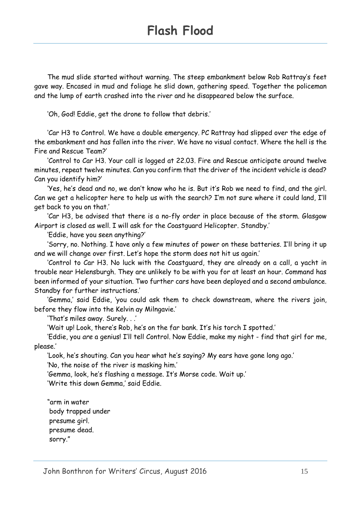The mud slide started without warning. The steep embankment below Rob Rattray's feet gave way. Encased in mud and foliage he slid down, gathering speed. Together the policeman and the lump of earth crashed into the river and he disappeared below the surface.

'Oh, God! Eddie, get the drone to follow that debris.'

'Car H3 to Control. We have a double emergency. PC Rattray had slipped over the edge of the embankment and has fallen into the river. We have no visual contact. Where the hell is the Fire and Rescue Team?'

'Control to Car H3. Your call is logged at 22.03. Fire and Rescue anticipate around twelve minutes, repeat twelve minutes. Can you confirm that the driver of the incident vehicle is dead? Can you identify him?'

'Yes, he's dead and no, we don't know who he is. But it's Rob we need to find, and the girl. Can we get a helicopter here to help us with the search? I'm not sure where it could land, I'll get back to you on that.'

'Car H3, be advised that there is a no-fly order in place because of the storm. Glasgow Airport is closed as well. I will ask for the Coastguard Helicopter. Standby.'

'Eddie, have you seen anything?'

'Sorry, no. Nothing. I have only a few minutes of power on these batteries. I'll bring it up and we will change over first. Let's hope the storm does not hit us again.'

'Control to Car H3. No luck with the Coastguard, they are already on a call, a yacht in trouble near Helensburgh. They are unlikely to be with you for at least an hour. Command has been informed of your situation. Two further cars have been deployed and a second ambulance. Standby for further instructions.'

'Gemma,' said Eddie, 'you could ask them to check downstream, where the rivers join, before they flow into the Kelvin ay Milngavie.'

'That's miles away. Surely. . .'

'Wait up! Look, there's Rob, he's on the far bank. It's his torch I spotted.'

'Eddie, you *are* a genius! I'll tell Control. Now Eddie, make my night - find that girl for me, please.'

'Look, he's shouting. Can you hear what he's saying? My ears have gone long ago.'

'No, the noise of the river is masking him.'

'Gemma, look, he's flashing a message. It's Morse code. Wait up.'

'Write this down Gemma,' said Eddie.

"arm in water body trapped under presume girl. presume dead. sorry."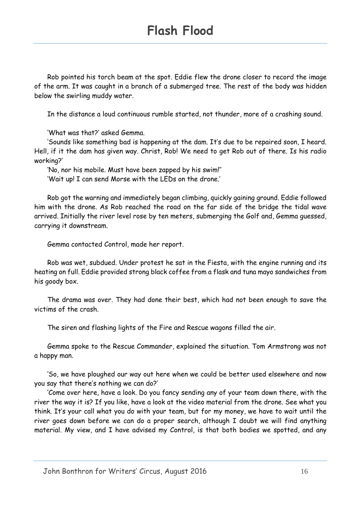Rob pointed his torch beam at the spot. Eddie flew the drone closer to record the image of the arm. It was caught in a branch of a submerged tree. The rest of the body was hidden below the swirling muddy water.

In the distance a loud continuous rumble started, not thunder, more of a crashing sound.

'What was that?' asked Gemma.

'Sounds like something bad is happening at the dam. It's due to be repaired soon, I heard. Hell, if it the dam has given way. Christ, Rob! We need to get Rob out of there. Is his radio working?'

'No, nor his mobile. Must have been zapped by his swim!''

'Wait up! I can send Morse with the LEDs on the drone.'

Rob got the warning and immediately began climbing, quickly gaining ground. Eddie followed him with the drone. As Rob reached the road on the far side of the bridge the tidal wave arrived. Initially the river level rose by ten meters, submerging the Golf and, Gemma guessed, carrying it downstream.

Gemma contacted Control, made her report.

Rob was wet, subdued. Under protest he sat in the Fiesta, with the engine running and its heating on full. Eddie provided strong black coffee from a flask and tuna mayo sandwiches from his goody box.

The drama was over. They had done their best, which had not been enough to save the victims of the crash.

The siren and flashing lights of the Fire and Rescue wagons filled the air.

Gemma spoke to the Rescue Commander, explained the situation. Tom Armstrong was not a happy man.

'So, we have ploughed our way out here when we could be better used elsewhere and now you say that there's nothing we can do?'

'Come over here, have a look. Do you fancy sending any of your team down there, with the river the way it is? If you like, have a look at the video material from the drone. See what you think. It's your call what you do with your team, but for my money, we have to wait until the river goes down before we can do a proper search, although I doubt we will find anything material. My view, and I have advised my Control, is that both bodies we spotted, and any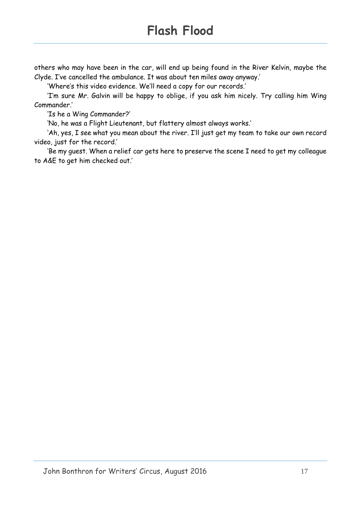others who may have been in the car, will end up being found in the River Kelvin, maybe the Clyde. I've cancelled the ambulance. It was about ten miles away anyway.'

'Where's this video evidence. We'll need a copy for our records.'

'I'm sure Mr. Galvin will be happy to oblige, if you ask him nicely. Try calling him Wing Commander.'

'Is he a Wing Commander?'

'No, he was a Flight Lieutenant, but flattery almost always works.'

'Ah, yes, I see what you mean about the river. I'll just get my team to take our own record video, just for the record.'

'Be my guest. When a relief car gets here to preserve the scene I need to get my colleague to A&E to get him checked out.'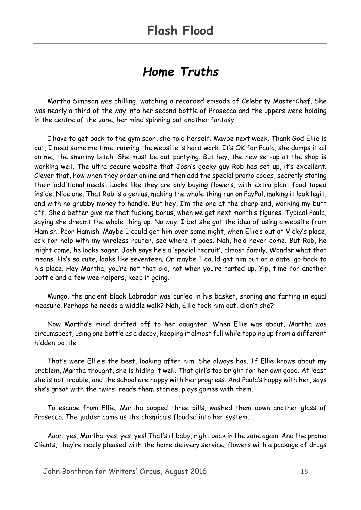## *Home Truths*

Martha Simpson was chilling, watching a recorded episode of Celebrity MasterChef. She was nearly a third of the way into her second bottle of Prosecco and the uppers were holding in the centre of the zone, her mind spinning out another fantasy.

I have to get back to the gym soon, she told herself. Maybe next week. Thank God Ellie is out, I need some me time, running the website is hard work. It's OK for Paula, she dumps it all on me, the smarmy bitch. She must be out partying. But hey, the new set-up at the shop is working well. The ultra-secure website that Josh's geeky guy Rob has set up, it's excellent. Clever that, how when they order online and then add the special promo codes, secretly stating their 'additional needs'. Looks like they are only buying flowers, with extra plant food taped inside. Nice one. That Rob is a genius, making the whole thing run on PayPal, making it look legit, and with no grubby money to handle. But hey, I'm the one at the sharp end, working my butt off. She'd better give me that fucking bonus, when we get next month's figures. Typical Paula, saying she dreamt the whole thing up. No way. I bet she got the idea of using a website from Hamish. Poor Hamish. Maybe I could get him over some night, when Ellie's out at Vicky's place, ask for help with my wireless router, see where it goes. Nah, he'd never come. But Rob, he might come, he looks eager. Josh says he's a 'special recruit', almost family. Wonder what that means. He's so cute, looks like seventeen. Or maybe I could get him out on a date, go back to his place. Hey Martha, you're not that old, not when you're tarted up. Yip, time for another bottle and a few wee helpers, keep it going.

Mungo, the ancient black Labrador was curled in his basket, snoring and farting in equal measure. Perhaps he needs a widdle walk? Nah, Ellie took him out, didn't she?

Now Martha's mind drifted off to her daughter. When Ellie was about, Martha was circumspect, using one bottle as a decoy, keeping it almost full while topping up from a different hidden bottle.

That's were Ellie's the best, looking after him. She always has. If Ellie knows about my problem, Martha thought, she is hiding it well. That girl's too bright for her own good. At least she is not trouble, and the school are happy with her progress. And Paula's happy with her, says she's great with the twins, reads them stories, plays games with them.

To escape from Ellie, Martha popped three pills, washed them down another glass of Prosecco. The judder came as the chemicals flooded into her system.

Aaah, yes, Martha, yes, yes, yes! That's it baby, right back in the zone again. And the promo Clients, they're really pleased with the home delivery service, flowers with a package of drugs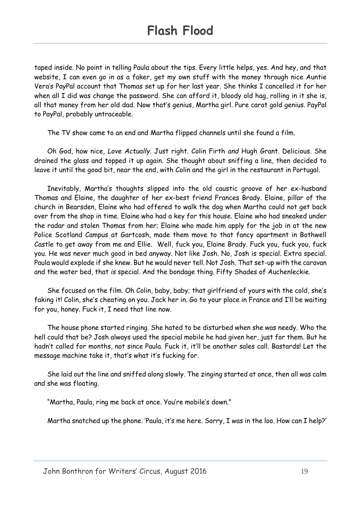taped inside. No point in telling Paula about the tips. Every little helps, yes. And hey, and that website, I can even go in as a faker, get my own stuff with the money through nice Auntie Vera's PayPal account that Thomas set up for her last year. She thinks I cancelled it for her when all I did was change the password. She can afford it, bloody old hag, rolling in it she is, all that money from her old dad. Now that's genius, Martha girl. Pure carat gold genius. PayPal to PayPal, probably untraceable.

The TV show came to an end and Martha flipped channels until she found a film.

Oh God, how nice, *Love Actually*. Just right. Colin Firth *and* Hugh Grant. Delicious. She drained the glass and topped it up again. She thought about sniffing a line, then decided to leave it until the good bit, near the end, with Colin and the girl in the restaurant in Portugal.

Inevitably, Martha's thoughts slipped into the old caustic groove of her ex-husband Thomas and Elaine, the daughter of her ex-best friend Frances Brady. Elaine, pillar of the church in Bearsden, Elaine who had offered to walk the dog when Martha could not get back over from the shop in time. Elaine who had a key for this house. Elaine who had sneaked under the radar and stolen Thomas from her; Elaine who made him apply for the job in at the new Police Scotland Campus at Gartcosh, made them move to that fancy apartment in Bothwell Castle to get away from me and Ellie. Well, fuck you, Elaine Brady. Fuck you, fuck you, fuck you. He was never much good in bed anyway. Not like Josh. No, Josh is special. Extra special. Paula would explode if she knew. But he would never tell. Not Josh. That set-up with the caravan and the water bed, that *is* special. And the bondage thing. Fifty Shades of Auchenleckie.

She focused on the film. Oh Colin, baby, baby; that girlfriend of yours with the cold, she's faking it! Colin, she's cheating on you. Jack her in. Go to your place in France and I'll be waiting for you, honey. Fuck it, I need that line now.

The house phone started ringing. She hated to be disturbed when she was needy. Who the hell could that be? Josh always used the special mobile he had given her, just for them. But he hadn't called for months, not since Paula. Fuck it, it'll be another sales call. Bastards! Let the message machine take it, that's what it's fucking for.

She laid out the line and sniffed along slowly. The zinging started at once, then all was calm and she was floating.

"Martha, Paula, ring me back at once. You're mobile's down."

Martha snatched up the phone. 'Paula, it's me here. Sorry, I was in the loo. How can I help?'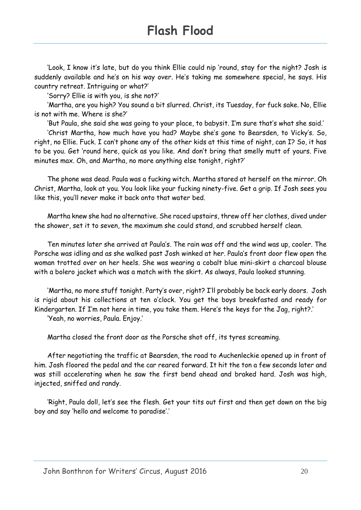'Look, I know it's late, but do you think Ellie could nip 'round, stay for the night? Josh is suddenly available and he's on his way over. He's taking me somewhere special, he says. His country retreat. Intriguing or what?'

'Sorry? Ellie is with you, is she not?'

'Martha, are you high? You sound a bit slurred. Christ, its Tuesday, for fuck sake. No, Ellie is not with me. Where is she?'

'But Paula, she said she was going to your place, to babysit. I'm sure that's what she said.' 'Christ Martha, how much have you had? Maybe she's gone to Bearsden, to Vicky's. So, right, no Ellie. Fuck. I can't phone any of the other kids at this time of night, can I? So, it has to be you. Get 'round here, quick as you like. And don't bring that smelly mutt of yours. Five minutes max. Oh, and Martha, no more anything else tonight, right?'

The phone was dead. Paula was a fucking witch. Martha stared at herself on the mirror. Oh Christ, Martha, look at you. You look like your fucking ninety-five. Get a grip. If Josh sees you like this, you'll never make it back onto that water bed.

Martha knew she had no alternative. She raced upstairs, threw off her clothes, dived under the shower, set it to seven, the maximum she could stand, and scrubbed herself clean.

Ten minutes later she arrived at Paula's. The rain was off and the wind was up, cooler. The Porsche was idling and as she walked past Josh winked at her. Paula's front door flew open the woman trotted over on her heels. She was wearing a cobalt blue mini-skirt a charcoal blouse with a bolero jacket which was a match with the skirt. As always, Paula looked stunning.

'Martha, no more stuff tonight. Party's over, right? I'll probably be back early doors. Josh is rigid about his collections at ten o'clock. You get the boys breakfasted and ready for Kindergarten. If I'm not here in time, you take them. Here's the keys for the Jag, right?.'

'Yeah, no worries, Paula. Enjoy.'

Martha closed the front door as the Porsche shot off, its tyres screaming.

After negotiating the traffic at Bearsden, the road to Auchenleckie opened up in front of him. Josh floored the pedal and the car reared forward. It hit the ton a few seconds later and was still accelerating when he saw the first bend ahead and braked hard. Josh was high, injected, sniffed and randy.

'Right, Paula doll, let's see the flesh. Get your tits out first and then get down on the big boy and say 'hello and welcome to paradise'.'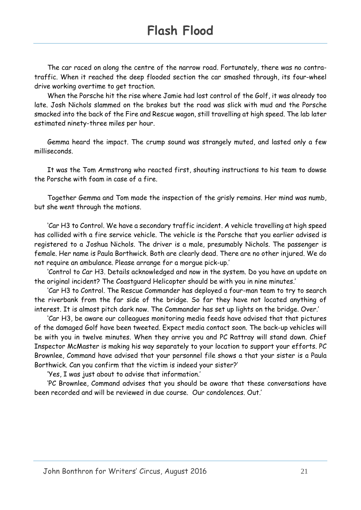The car raced on along the centre of the narrow road. Fortunately, there was no contratraffic. When it reached the deep flooded section the car smashed through, its four-wheel drive working overtime to get traction.

When the Porsche hit the rise where Jamie had lost control of the Golf, it was already too late. Josh Nichols slammed on the brakes but the road was slick with mud and the Porsche smacked into the back of the Fire and Rescue wagon, still travelling at high speed. The lab later estimated ninety-three miles per hour.

Gemma heard the impact. The crump sound was strangely muted, and lasted only a few milliseconds.

It was the Tom Armstrong who reacted first, shouting instructions to his team to dowse the Porsche with foam in case of a fire.

Together Gemma and Tom made the inspection of the grisly remains. Her mind was numb, but she went through the motions.

'Car H3 to Control. We have a secondary traffic incident. A vehicle travelling at high speed has collided with a fire service vehicle. The vehicle is the Porsche that you earlier advised is registered to a Joshua Nichols. The driver is a male, presumably Nichols. The passenger is female. Her name is Paula Borthwick. Both are clearly dead. There are no other injured. We do not require an ambulance. Please arrange for a morgue pick-up.'

'Control to Car H3. Details acknowledged and now in the system. Do you have an update on the original incident? The Coastguard Helicopter should be with you in nine minutes.'

'Car H3 to Control. The Rescue Commander has deployed a four-man team to try to search the riverbank from the far side of the bridge. So far they have not located anything of interest. It is almost pitch dark now. The Commander has set up lights on the bridge. Over.'

'Car H3, be aware our colleagues monitoring media feeds have advised that that pictures of the damaged Golf have been tweeted. Expect media contact soon. The back-up vehicles will be with you in twelve minutes. When they arrive you and PC Rattray will stand down. Chief Inspector McMaster is making his way separately to your location to support your efforts. PC Brownlee, Command have advised that your personnel file shows a that your sister is a Paula Borthwick. Can you confirm that the victim is indeed your sister?'

'Yes, I was just about to advise that information.'

'PC Brownlee, Command advises that you should be aware that these conversations have been recorded and will be reviewed in due course. Our condolences. Out.'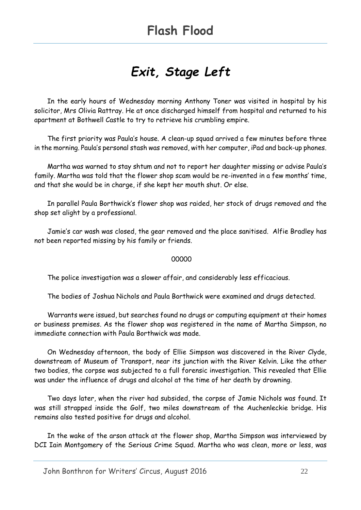# *Exit, Stage Left*

In the early hours of Wednesday morning Anthony Toner was visited in hospital by his solicitor, Mrs Olivia Rattray. He at once discharged himself from hospital and returned to his apartment at Bothwell Castle to try to retrieve his crumbling empire.

The first priority was Paula's house. A clean-up squad arrived a few minutes before three in the morning. Paula's personal stash was removed, with her computer, iPad and back-up phones.

Martha was warned to stay shtum and not to report her daughter missing or advise Paula's family. Martha was told that the flower shop scam would be re-invented in a few months' time, and that she would be in charge, if she kept her mouth shut. Or else.

In parallel Paula Borthwick's flower shop was raided, her stock of drugs removed and the shop set alight by a professional.

Jamie's car wash was closed, the gear removed and the place sanitised. Alfie Bradley has not been reported missing by his family or friends.

#### 00000

The police investigation was a slower affair, and considerably less efficacious.

The bodies of Joshua Nichols and Paula Borthwick were examined and drugs detected.

Warrants were issued, but searches found no drugs or computing equipment at their homes or business premises. As the flower shop was registered in the name of Martha Simpson, no immediate connection with Paula Borthwick was made.

On Wednesday afternoon, the body of Ellie Simpson was discovered in the River Clyde, downstream of Museum of Transport, near its junction with the River Kelvin. Like the other two bodies, the corpse was subjected to a full forensic investigation. This revealed that Ellie was under the influence of drugs and alcohol at the time of her death by drowning.

Two days later, when the river had subsided, the corpse of Jamie Nichols was found. It was still strapped inside the Golf, two miles downstream of the Auchenleckie bridge. His remains also tested positive for drugs and alcohol.

In the wake of the arson attack at the flower shop, Martha Simpson was interviewed by DCI Iain Montgomery of the Serious Crime Squad. Martha who was clean, more or less, was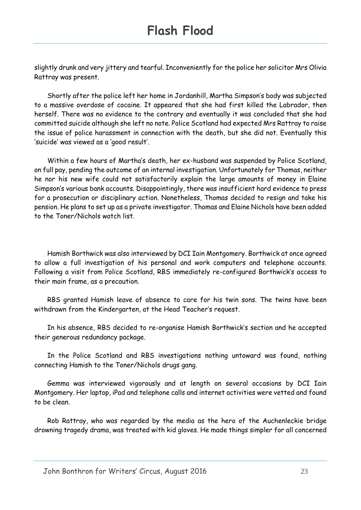slightly drunk and very jittery and tearful. Inconveniently for the police her solicitor Mrs Olivia Rattray was present.

Shortly after the police left her home in Jordanhill, Martha Simpson's body was subjected to a massive overdose of cocaine. It appeared that she had first killed the Labrador, then herself. There was no evidence to the contrary and eventually it was concluded that she had committed suicide although she left no note. Police Scotland had expected Mrs Rattray to raise the issue of police harassment in connection with the death, but she did not. Eventually this 'suicide' was viewed as a 'good result'.

Within a few hours of Martha's death, her ex-husband was suspended by Police Scotland, on full pay, pending the outcome of an internal investigation. Unfortunately for Thomas, neither he nor his new wife could not satisfactorily explain the large amounts of money in Elaine Simpson's various bank accounts. Disappointingly, there was insufficient hard evidence to press for a prosecution or disciplinary action. Nonetheless, Thomas decided to resign and take his pension. He plans to set up as a private investigator. Thomas and Elaine Nichols have been added to the Toner/Nichols watch list.

Hamish Borthwick was also interviewed by DCI Iain Montgomery. Borthwick at once agreed to allow a full investigation of his personal and work computers and telephone accounts. Following a visit from Police Scotland, RBS immediately re-configured Borthwick's access to their main frame, as a precaution.

RBS granted Hamish leave of absence to care for his twin sons. The twins have been withdrawn from the Kindergarten, at the Head Teacher's request.

In his absence, RBS decided to re-organise Hamish Borthwick's section and he accepted their generous redundancy package.

In the Police Scotland and RBS investigations nothing untoward was found, nothing connecting Hamish to the Toner/Nichols drugs gang.

Gemma was interviewed vigorously and at length on several occasions by DCI Iain Montgomery. Her laptop, iPad and telephone calls and internet activities were vetted and found to be clean.

Rob Rattray, who was regarded by the media as the hero of the Auchenleckie bridge drowning tragedy drama, was treated with kid gloves. He made things simpler for all concerned